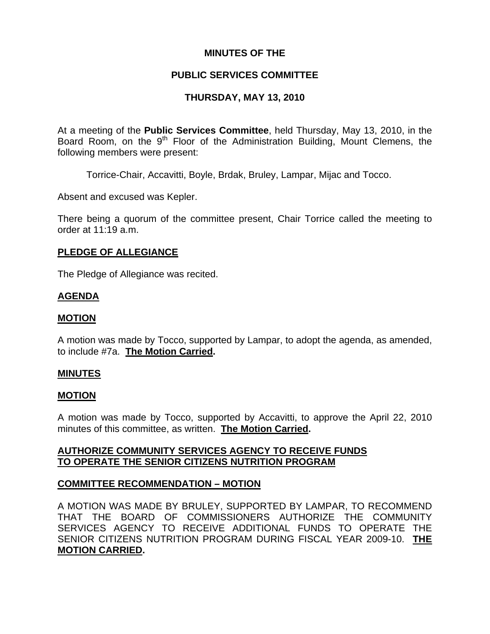### **MINUTES OF THE**

### **PUBLIC SERVICES COMMITTEE**

# **THURSDAY, MAY 13, 2010**

At a meeting of the **Public Services Committee**, held Thursday, May 13, 2010, in the Board Room, on the 9<sup>th</sup> Floor of the Administration Building. Mount Clemens, the following members were present:

Torrice-Chair, Accavitti, Boyle, Brdak, Bruley, Lampar, Mijac and Tocco.

Absent and excused was Kepler.

There being a quorum of the committee present, Chair Torrice called the meeting to order at 11:19 a.m.

### **PLEDGE OF ALLEGIANCE**

The Pledge of Allegiance was recited.

### **AGENDA**

### **MOTION**

A motion was made by Tocco, supported by Lampar, to adopt the agenda, as amended, to include #7a. **The Motion Carried.** 

### **MINUTES**

### **MOTION**

A motion was made by Tocco, supported by Accavitti, to approve the April 22, 2010 minutes of this committee, as written. **The Motion Carried.** 

# **AUTHORIZE COMMUNITY SERVICES AGENCY TO RECEIVE FUNDS TO OPERATE THE SENIOR CITIZENS NUTRITION PROGRAM**

# **COMMITTEE RECOMMENDATION – MOTION**

A MOTION WAS MADE BY BRULEY, SUPPORTED BY LAMPAR, TO RECOMMEND THAT THE BOARD OF COMMISSIONERS AUTHORIZE THE COMMUNITY SERVICES AGENCY TO RECEIVE ADDITIONAL FUNDS TO OPERATE THE SENIOR CITIZENS NUTRITION PROGRAM DURING FISCAL YEAR 2009-10. **THE MOTION CARRIED.**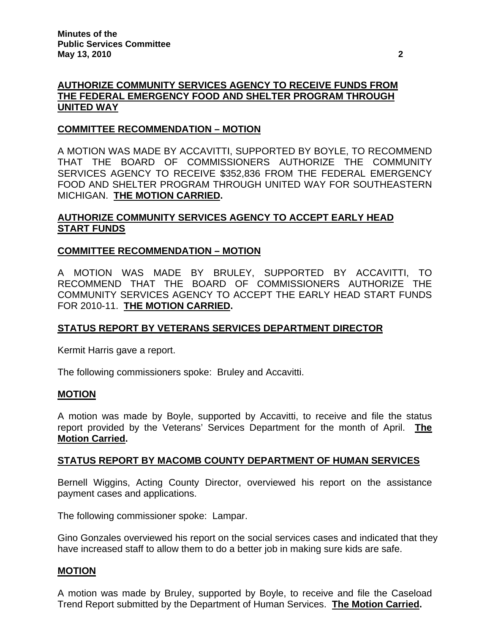# **AUTHORIZE COMMUNITY SERVICES AGENCY TO RECEIVE FUNDS FROM THE FEDERAL EMERGENCY FOOD AND SHELTER PROGRAM THROUGH UNITED WAY**

### **COMMITTEE RECOMMENDATION – MOTION**

A MOTION WAS MADE BY ACCAVITTI, SUPPORTED BY BOYLE, TO RECOMMEND THAT THE BOARD OF COMMISSIONERS AUTHORIZE THE COMMUNITY SERVICES AGENCY TO RECEIVE \$352,836 FROM THE FEDERAL EMERGENCY FOOD AND SHELTER PROGRAM THROUGH UNITED WAY FOR SOUTHEASTERN MICHIGAN. **THE MOTION CARRIED.** 

# **AUTHORIZE COMMUNITY SERVICES AGENCY TO ACCEPT EARLY HEAD START FUNDS**

# **COMMITTEE RECOMMENDATION – MOTION**

A MOTION WAS MADE BY BRULEY, SUPPORTED BY ACCAVITTI, TO RECOMMEND THAT THE BOARD OF COMMISSIONERS AUTHORIZE THE COMMUNITY SERVICES AGENCY TO ACCEPT THE EARLY HEAD START FUNDS FOR 2010-11. **THE MOTION CARRIED.** 

# **STATUS REPORT BY VETERANS SERVICES DEPARTMENT DIRECTOR**

Kermit Harris gave a report.

The following commissioners spoke: Bruley and Accavitti.

### **MOTION**

A motion was made by Boyle, supported by Accavitti, to receive and file the status report provided by the Veterans' Services Department for the month of April. **The Motion Carried.** 

### **STATUS REPORT BY MACOMB COUNTY DEPARTMENT OF HUMAN SERVICES**

Bernell Wiggins, Acting County Director, overviewed his report on the assistance payment cases and applications.

The following commissioner spoke: Lampar.

Gino Gonzales overviewed his report on the social services cases and indicated that they have increased staff to allow them to do a better job in making sure kids are safe.

# **MOTION**

A motion was made by Bruley, supported by Boyle, to receive and file the Caseload Trend Report submitted by the Department of Human Services. **The Motion Carried.**